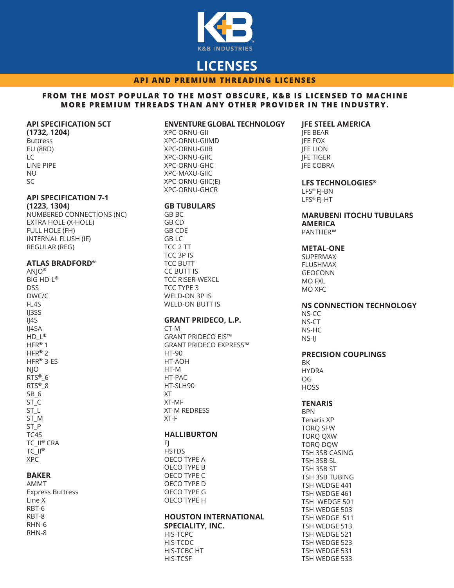

# **LICENSES**

**API AND PREMIUM THREADING LICENSES**

#### **FROM THE MOST POPULAR TO THE MOST OBSCURE, K&B IS LICENSED TO MACHINE MORE PREMIUM THREADS THAN ANY OTHER PROVIDER IN THE INDUSTRY.**

#### **API SPECIFICATION 5CT**

**(1732, 1204)** Buttress EU (8RD) LC LINE PIPE NU SC

# **API SPECIFICATION 7-1**

**(1223, 1304)** NUMBERED CONNECTIONS (NC) EXTRA HOLE (X-HOLE) FULL HOLE (FH) INTERNAL FLUSH (IF) REGULAR (REG)

#### **ATLAS BRADFORD®**

ANJO**®** BIG HD-L**®** DSS DWC/C FL4S IJ3SS IJ4S IJ4SA HD\_L**®** HFR**®** 1 HFR**®** 2 HFR**®** 3-ES NJO RTS**®**\_6 RTS**®**\_8 SB<sub>6</sub> ST\_C ST\_L ST\_M ST\_P TC4S TC\_II**®** CRA TC\_II**®** XPC

# **BAKER**

AMMT Express Buttress Line X RBT-6 RBT-8 RHN-6 RHN-8

#### **ENVENTURE GLOBAL TECHNOLOGY**

XPC-ORNU-GII XPC-ORNU-GIIMD XPC-ORNU-GIIB XPC-ORNU-GIIC XPC-ORNU-GHC XPC-MAXU-GIIC XPC-ORNU-GIIC(E) XPC-ORNU-GHCR

#### **GB TUBULARS**

GB BC GB CD GB CDE GB LC TCC 2 TT TCC 3P IS TCC BUTT CC BUTT IS TCC RISER-WEXCL TCC TYPE 3 WELD-ON 3P IS WELD-ON BUTT IS

# **GRANT PRIDECO, L.P.**

CT-M GRANT PRIDECO EIS™ GRANT PRIDECO EXPRESS™ HT-90 HT-AOH HT-M HT-PAC HT-SLH90 XT XT-MF XT-M REDRESS XT-F

## **HALLIBURTON**

 $F<sub>1</sub>$ **HSTDS** OECO TYPE A OECO TYPE B OECO TYPE C OECO TYPE D OECO TYPE G OECO TYPE H

# **HOUSTON INTERNATIONAL SPECIALITY, INC.**

HIS-TCPC HIS-TCDC HIS-TCBC HT HIS-TCSF

# **JFE STEEL AMERICA**

JFE BEAR JFE FOX **IFE LION** JFE TIGER **IFE COBRA** 

# **LFS TECHNOLOGIES®**

LFS® FJ-BN LFS® FJ-HT

#### **MARUBENI ITOCHU TUBULARS AMERICA** PANTHER™

### **METAL-ONE**

SUPERMAX FLUSHMAX GEOCONN MO FXL MO XFC

#### **NS CONNECTION TECHNOLOGY**

NS-CC NS-CT NS-HC NS-IJ

#### **PRECISION COUPLINGS**

BK HYDRA OG **HOSS** 

#### **TENARIS**

BPN Tenaris XP TORQ SFW TORQ QXW TORQ DQW TSH 3SB CASING TSH 3SB SL TSH 3SB ST TSH 3SB TUBING TSH WEDGE 441 TSH WEDGE 461 TSH WEDGE 501 TSH WEDGE 503 TSH WEDGE 511 TSH WEDGE 513 TSH WEDGE 521 TSH WEDGE 523 TSH WEDGE 531 TSH WEDGE 533